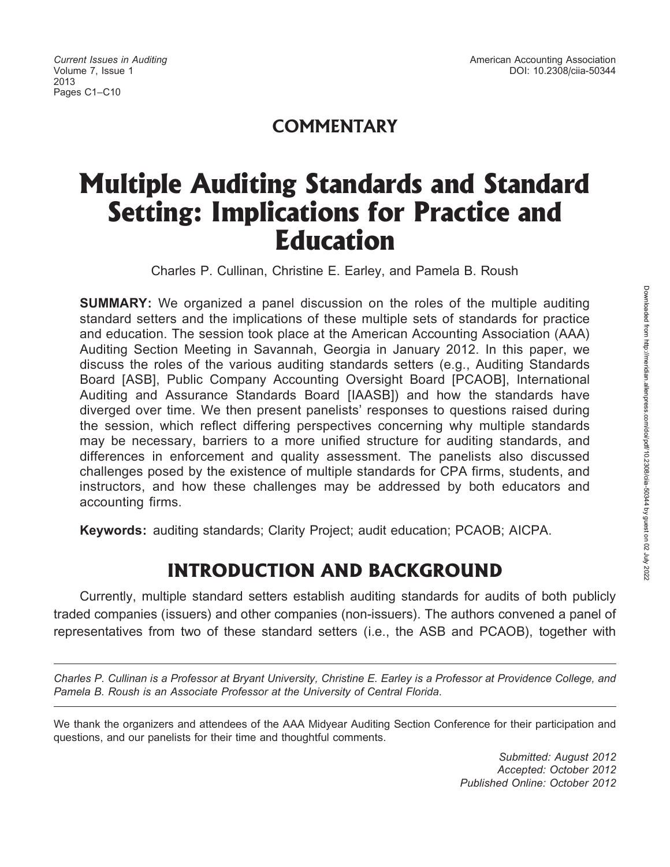### **COMMENTARY**

# Multiple Auditing Standards and Standard Setting: Implications for Practice and Education

Charles P. Cullinan, Christine E. Earley, and Pamela B. Roush

SUMMARY: We organized a panel discussion on the roles of the multiple auditing standard setters and the implications of these multiple sets of standards for practice and education. The session took place at the American Accounting Association (AAA) Auditing Section Meeting in Savannah, Georgia in January 2012. In this paper, we discuss the roles of the various auditing standards setters (e.g., Auditing Standards Board [ASB], Public Company Accounting Oversight Board [PCAOB], International Auditing and Assurance Standards Board [IAASB]) and how the standards have diverged over time. We then present panelists' responses to questions raised during the session, which reflect differing perspectives concerning why multiple standards may be necessary, barriers to a more unified structure for auditing standards, and differences in enforcement and quality assessment. The panelists also discussed challenges posed by the existence of multiple standards for CPA firms, students, and instructors, and how these challenges may be addressed by both educators and accounting firms.

Keywords: auditing standards; Clarity Project; audit education; PCAOB; AICPA.

## INTRODUCTION AND BACKGROUND

Currently, multiple standard setters establish auditing standards for audits of both publicly traded companies (issuers) and other companies (non-issuers). The authors convened a panel of representatives from two of these standard setters (i.e., the ASB and PCAOB), together with

Charles P. Cullinan is a Professor at Bryant University, Christine E. Earley is a Professor at Providence College, and Pamela B. Roush is an Associate Professor at the University of Central Florida.

We thank the organizers and attendees of the AAA Midyear Auditing Section Conference for their participation and questions, and our panelists for their time and thoughtful comments.

> Submitted: August 2012 Accepted: October 2012 Published Online: October 2012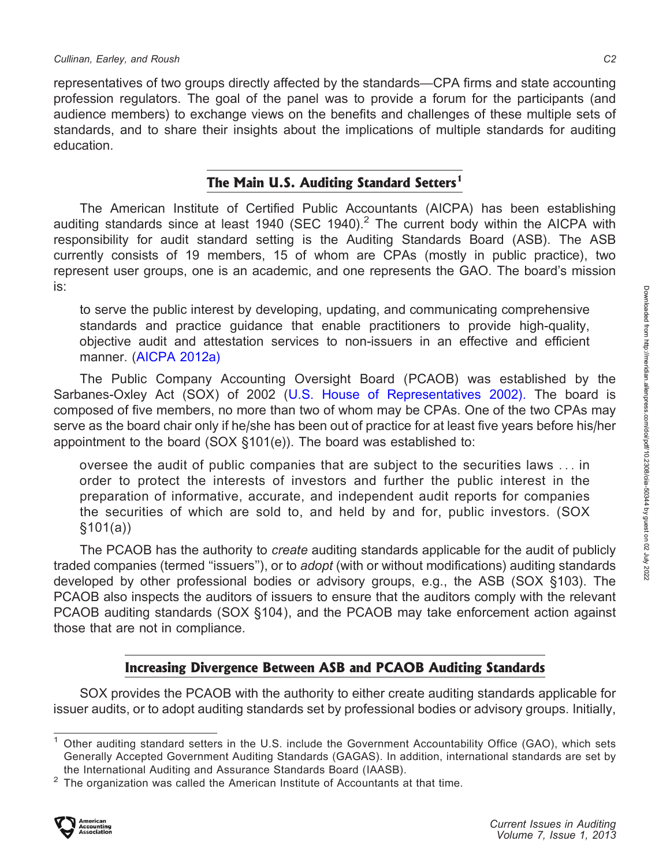representatives of two groups directly affected by the standards—CPA firms and state accounting profession regulators. The goal of the panel was to provide a forum for the participants (and audience members) to exchange views on the benefits and challenges of these multiple sets of standards, and to share their insights about the implications of multiple standards for auditing education.

#### The Main U.S. Auditing Standard Setters<sup>1</sup>

The American Institute of Certified Public Accountants (AICPA) has been establishing auditing standards since at least 1940 (SEC 1940).<sup>2</sup> The current body within the AICPA with responsibility for audit standard setting is the Auditing Standards Board (ASB). The ASB currently consists of 19 members, 15 of whom are CPAs (mostly in public practice), two represent user groups, one is an academic, and one represents the GAO. The board's mission is:

to serve the public interest by developing, updating, and communicating comprehensive standards and practice guidance that enable practitioners to provide high-quality, objective audit and attestation services to non-issuers in an effective and efficient manner. ([AICPA 2012a\)](#page-8-0)

The Public Company Accounting Oversight Board (PCAOB) was established by the Sarbanes-Oxley Act (SOX) of 2002 ([U.S. House of Representatives 2002\).](#page-9-0) The board is composed of five members, no more than two of whom may be CPAs. One of the two CPAs may serve as the board chair only if he/she has been out of practice for at least five years before his/her appointment to the board (SOX §101(e)). The board was established to:

oversee the audit of public companies that are subject to the securities laws ... in order to protect the interests of investors and further the public interest in the preparation of informative, accurate, and independent audit reports for companies the securities of which are sold to, and held by and for, public investors. (SOX  $$101(a)$ 

The PCAOB has the authority to *create* auditing standards applicable for the audit of publicly traded companies (termed "issuers"), or to adopt (with or without modifications) auditing standards developed by other professional bodies or advisory groups, e.g., the ASB (SOX §103). The PCAOB also inspects the auditors of issuers to ensure that the auditors comply with the relevant PCAOB auditing standards (SOX §104), and the PCAOB may take enforcement action against those that are not in compliance.

#### Increasing Divergence Between ASB and PCAOB Auditing Standards

SOX provides the PCAOB with the authority to either create auditing standards applicable for issuer audits, or to adopt auditing standards set by professional bodies or advisory groups. Initially,

 $1$  Other auditing standard setters in the U.S. include the Government Accountability Office (GAO), which sets Generally Accepted Government Auditing Standards (GAGAS). In addition, international standards are set by the International Auditing and Assurance Standards Board (IAASB).

 $2$  The organization was called the American Institute of Accountants at that time.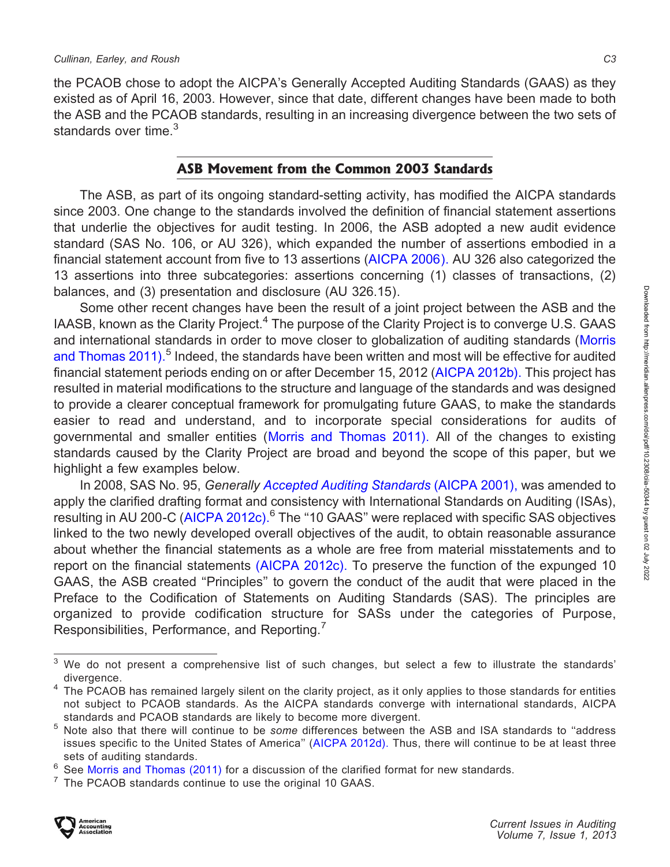the PCAOB chose to adopt the AICPA's Generally Accepted Auditing Standards (GAAS) as they existed as of April 16, 2003. However, since that date, different changes have been made to both the ASB and the PCAOB standards, resulting in an increasing divergence between the two sets of standards over time. $3$ 

#### ASB Movement from the Common 2003 Standards

The ASB, as part of its ongoing standard-setting activity, has modified the AICPA standards since 2003. One change to the standards involved the definition of financial statement assertions that underlie the objectives for audit testing. In 2006, the ASB adopted a new audit evidence standard (SAS No. 106, or AU 326), which expanded the number of assertions embodied in a financial statement account from five to 13 assertions ([AICPA 2006\).](#page-8-0) AU 326 also categorized the 13 assertions into three subcategories: assertions concerning (1) classes of transactions, (2) balances, and (3) presentation and disclosure (AU 326.15).

Some other recent changes have been the result of a joint project between the ASB and the IAASB, known as the Clarity Project.<sup>4</sup> The purpose of the Clarity Project is to converge U.S. GAAS and international standards in order to move closer to globalization of auditing standards ([Morris](#page-8-0) and Thomas 2011).<sup>5</sup> Indeed, the standards have been written and most will be effective for audited financial statement periods ending on or after December 15, 2012 ([AICPA 2012b\).](#page-8-0) This project has resulted in material modifications to the structure and language of the standards and was designed to provide a clearer conceptual framework for promulgating future GAAS, to make the standards easier to read and understand, and to incorporate special considerations for audits of governmental and smaller entities ([Morris and Thomas 2011\).](#page-8-0) All of the changes to existing standards caused by the Clarity Project are broad and beyond the scope of this paper, but we highlight a few examples below.

In 2008, SAS No. 95, Generally [Accepted Auditing Standards](#page-8-0) (AICPA 2001), was amended to apply the clarified drafting format and consistency with International Standards on Auditing (ISAs), resulting in AU 200-C [\(AICPA 2012c\).](#page-8-0)<sup>6</sup> The "10 GAAS" were replaced with specific SAS objectives linked to the two newly developed overall objectives of the audit, to obtain reasonable assurance about whether the financial statements as a whole are free from material misstatements and to report on the financial statements [\(AICPA 2012c\).](#page-8-0) To preserve the function of the expunged 10 GAAS, the ASB created ''Principles'' to govern the conduct of the audit that were placed in the Preface to the Codification of Statements on Auditing Standards (SAS). The principles are organized to provide codification structure for SASs under the categories of Purpose, Responsibilities, Performance, and Reporting.7

 $7$  The PCAOB standards continue to use the original 10 GAAS.



<sup>&</sup>lt;sup>3</sup> We do not present a comprehensive list of such changes, but select a few to illustrate the standards' divergence.

<sup>&</sup>lt;sup>4</sup> The PCAOB has remained largely silent on the clarity project, as it only applies to those standards for entities not subject to PCAOB standards. As the AICPA standards converge with international standards, AICPA standards and PCAOB standards are likely to become more divergent.

<sup>&</sup>lt;sup>5</sup> Note also that there will continue to be some differences between the ASB and ISA standards to "address" issues specific to the United States of America" [\(AICPA 2012d\).](#page-8-0) Thus, there will continue to be at least three sets of auditing standards.

<sup>&</sup>lt;sup>6</sup> See [Morris and Thomas \(2011\)](#page-8-0) for a discussion of the clarified format for new standards.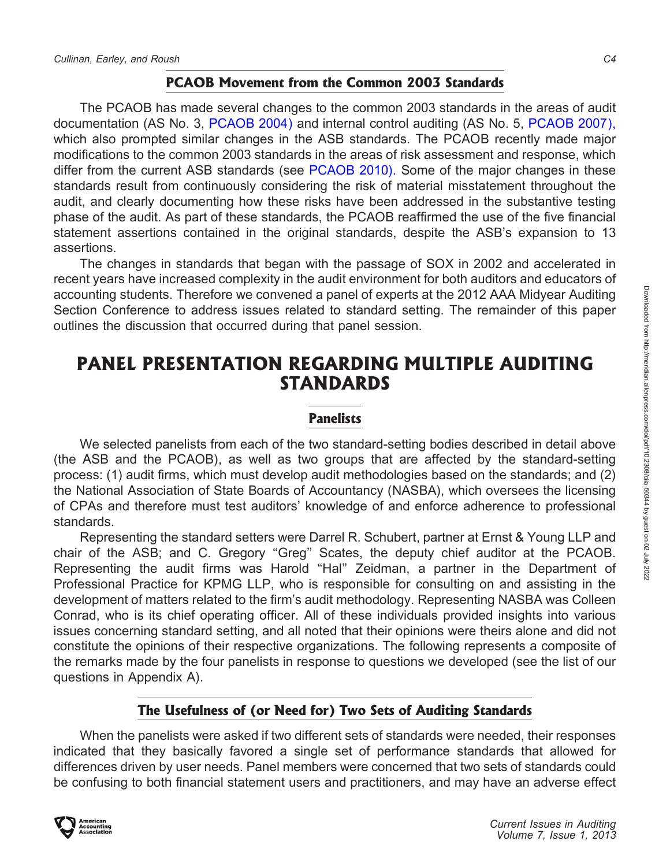#### PCAOB Movement from the Common 2003 Standards

The PCAOB has made several changes to the common 2003 standards in the areas of audit documentation (AS No. 3, [PCAOB 2004\)](#page-8-0) and internal control auditing (AS No. 5, [PCAOB 2007\),](#page-8-0) which also prompted similar changes in the ASB standards. The PCAOB recently made major modifications to the common 2003 standards in the areas of risk assessment and response, which differ from the current ASB standards (see [PCAOB 2010\).](#page-9-0) Some of the major changes in these standards result from continuously considering the risk of material misstatement throughout the audit, and clearly documenting how these risks have been addressed in the substantive testing phase of the audit. As part of these standards, the PCAOB reaffirmed the use of the five financial statement assertions contained in the original standards, despite the ASB's expansion to 13 assertions.

The changes in standards that began with the passage of SOX in 2002 and accelerated in recent years have increased complexity in the audit environment for both auditors and educators of accounting students. Therefore we convened a panel of experts at the 2012 AAA Midyear Auditing Section Conference to address issues related to standard setting. The remainder of this paper outlines the discussion that occurred during that panel session.

# PANEL PRESENTATION REGARDING MULTIPLE AUDITING STANDARDS

#### Panelists

We selected panelists from each of the two standard-setting bodies described in detail above (the ASB and the PCAOB), as well as two groups that are affected by the standard-setting process: (1) audit firms, which must develop audit methodologies based on the standards; and (2) the National Association of State Boards of Accountancy (NASBA), which oversees the licensing of CPAs and therefore must test auditors' knowledge of and enforce adherence to professional standards.

Representing the standard setters were Darrel R. Schubert, partner at Ernst & Young LLP and chair of the ASB; and C. Gregory ''Greg'' Scates, the deputy chief auditor at the PCAOB. Representing the audit firms was Harold ''Hal'' Zeidman, a partner in the Department of Professional Practice for KPMG LLP, who is responsible for consulting on and assisting in the development of matters related to the firm's audit methodology. Representing NASBA was Colleen Conrad, who is its chief operating officer. All of these individuals provided insights into various issues concerning standard setting, and all noted that their opinions were theirs alone and did not constitute the opinions of their respective organizations. The following represents a composite of the remarks made by the four panelists in response to questions we developed (see the list of our questions in Appendix A).

#### The Usefulness of (or Need for) Two Sets of Auditing Standards

When the panelists were asked if two different sets of standards were needed, their responses indicated that they basically favored a single set of performance standards that allowed for differences driven by user needs. Panel members were concerned that two sets of standards could be confusing to both financial statement users and practitioners, and may have an adverse effect

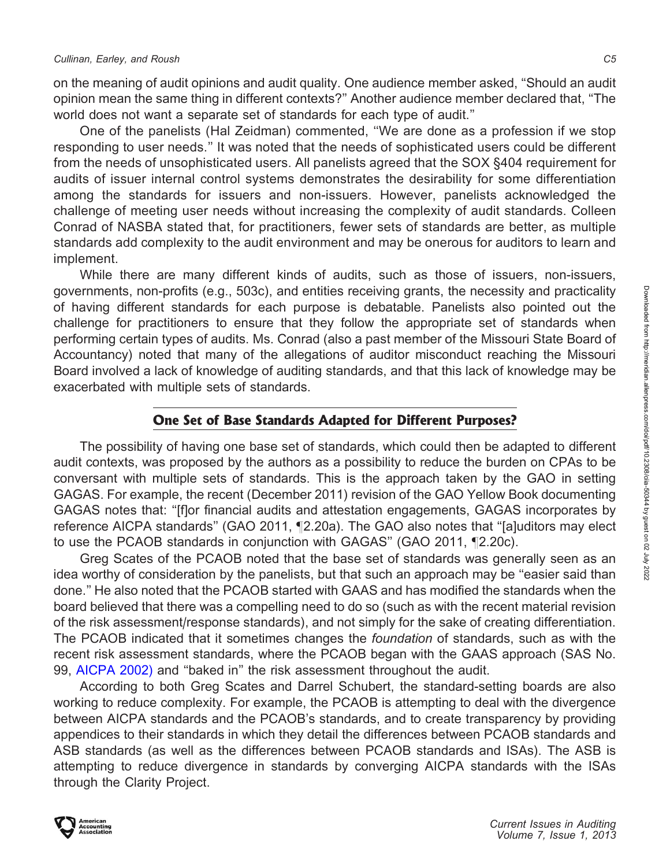on the meaning of audit opinions and audit quality. One audience member asked, ''Should an audit opinion mean the same thing in different contexts?'' Another audience member declared that, ''The world does not want a separate set of standards for each type of audit."

One of the panelists (Hal Zeidman) commented, ''We are done as a profession if we stop responding to user needs.'' It was noted that the needs of sophisticated users could be different from the needs of unsophisticated users. All panelists agreed that the SOX §404 requirement for audits of issuer internal control systems demonstrates the desirability for some differentiation among the standards for issuers and non-issuers. However, panelists acknowledged the challenge of meeting user needs without increasing the complexity of audit standards. Colleen Conrad of NASBA stated that, for practitioners, fewer sets of standards are better, as multiple standards add complexity to the audit environment and may be onerous for auditors to learn and implement.

While there are many different kinds of audits, such as those of issuers, non-issuers, governments, non-profits (e.g., 503c), and entities receiving grants, the necessity and practicality of having different standards for each purpose is debatable. Panelists also pointed out the challenge for practitioners to ensure that they follow the appropriate set of standards when performing certain types of audits. Ms. Conrad (also a past member of the Missouri State Board of Accountancy) noted that many of the allegations of auditor misconduct reaching the Missouri Board involved a lack of knowledge of auditing standards, and that this lack of knowledge may be exacerbated with multiple sets of standards.

#### One Set of Base Standards Adapted for Different Purposes?

The possibility of having one base set of standards, which could then be adapted to different audit contexts, was proposed by the authors as a possibility to reduce the burden on CPAs to be conversant with multiple sets of standards. This is the approach taken by the GAO in setting GAGAS. For example, the recent (December 2011) revision of the GAO Yellow Book documenting GAGAS notes that: ''[f]or financial audits and attestation engagements, GAGAS incorporates by reference AICPA standards" (GAO 2011, [2.20a). The GAO also notes that "[a]uditors may elect to use the PCAOB standards in conjunction with GAGAS" (GAO 2011, ¶2.20c).

Greg Scates of the PCAOB noted that the base set of standards was generally seen as an idea worthy of consideration by the panelists, but that such an approach may be ''easier said than done.'' He also noted that the PCAOB started with GAAS and has modified the standards when the board believed that there was a compelling need to do so (such as with the recent material revision of the risk assessment/response standards), and not simply for the sake of creating differentiation. The PCAOB indicated that it sometimes changes the *foundation* of standards, such as with the recent risk assessment standards, where the PCAOB began with the GAAS approach (SAS No. 99, [AICPA 2002\)](#page-8-0) and ''baked in'' the risk assessment throughout the audit.

According to both Greg Scates and Darrel Schubert, the standard-setting boards are also working to reduce complexity. For example, the PCAOB is attempting to deal with the divergence between AICPA standards and the PCAOB's standards, and to create transparency by providing appendices to their standards in which they detail the differences between PCAOB standards and ASB standards (as well as the differences between PCAOB standards and ISAs). The ASB is attempting to reduce divergence in standards by converging AICPA standards with the ISAs through the Clarity Project.

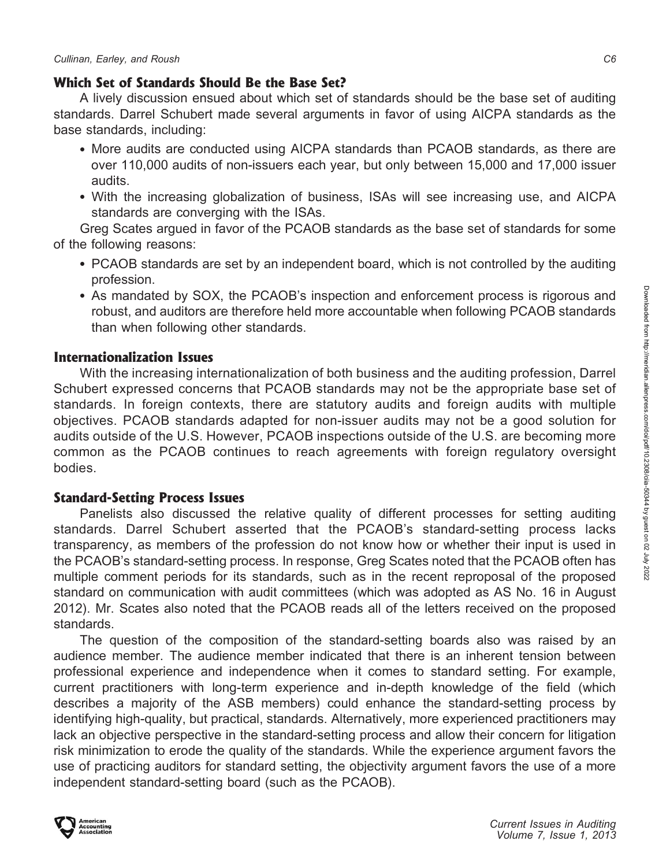#### Which Set of Standards Should Be the Base Set?

A lively discussion ensued about which set of standards should be the base set of auditing standards. Darrel Schubert made several arguments in favor of using AICPA standards as the base standards, including:

- More audits are conducted using AICPA standards than PCAOB standards, as there are over 110,000 audits of non-issuers each year, but only between 15,000 and 17,000 issuer audits.
- With the increasing globalization of business, ISAs will see increasing use, and AICPA standards are converging with the ISAs.

Greg Scates argued in favor of the PCAOB standards as the base set of standards for some of the following reasons:

- PCAOB standards are set by an independent board, which is not controlled by the auditing profession.
- As mandated by SOX, the PCAOB's inspection and enforcement process is rigorous and robust, and auditors are therefore held more accountable when following PCAOB standards than when following other standards.

#### Internationalization Issues

With the increasing internationalization of both business and the auditing profession, Darrel Schubert expressed concerns that PCAOB standards may not be the appropriate base set of standards. In foreign contexts, there are statutory audits and foreign audits with multiple objectives. PCAOB standards adapted for non-issuer audits may not be a good solution for audits outside of the U.S. However, PCAOB inspections outside of the U.S. are becoming more common as the PCAOB continues to reach agreements with foreign regulatory oversight bodies.

#### Standard-Setting Process Issues

Panelists also discussed the relative quality of different processes for setting auditing standards. Darrel Schubert asserted that the PCAOB's standard-setting process lacks transparency, as members of the profession do not know how or whether their input is used in the PCAOB's standard-setting process. In response, Greg Scates noted that the PCAOB often has multiple comment periods for its standards, such as in the recent reproposal of the proposed standard on communication with audit committees (which was adopted as AS No. 16 in August 2012). Mr. Scates also noted that the PCAOB reads all of the letters received on the proposed standards.

The question of the composition of the standard-setting boards also was raised by an audience member. The audience member indicated that there is an inherent tension between professional experience and independence when it comes to standard setting. For example, current practitioners with long-term experience and in-depth knowledge of the field (which describes a majority of the ASB members) could enhance the standard-setting process by identifying high-quality, but practical, standards. Alternatively, more experienced practitioners may lack an objective perspective in the standard-setting process and allow their concern for litigation risk minimization to erode the quality of the standards. While the experience argument favors the use of practicing auditors for standard setting, the objectivity argument favors the use of a more independent standard-setting board (such as the PCAOB).

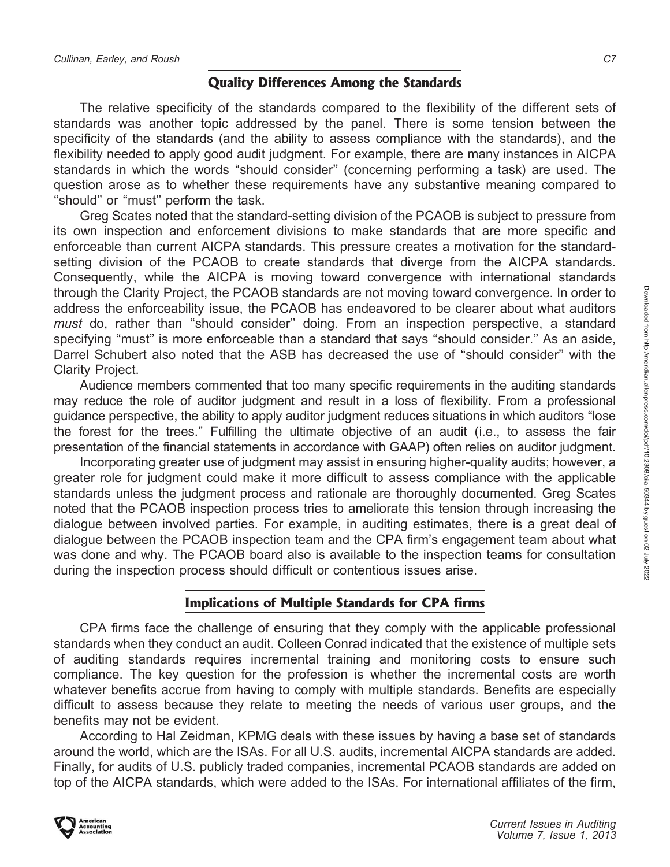#### Quality Differences Among the Standards

The relative specificity of the standards compared to the flexibility of the different sets of standards was another topic addressed by the panel. There is some tension between the specificity of the standards (and the ability to assess compliance with the standards), and the flexibility needed to apply good audit judgment. For example, there are many instances in AICPA standards in which the words ''should consider'' (concerning performing a task) are used. The question arose as to whether these requirements have any substantive meaning compared to ''should'' or ''must'' perform the task.

Greg Scates noted that the standard-setting division of the PCAOB is subject to pressure from its own inspection and enforcement divisions to make standards that are more specific and enforceable than current AICPA standards. This pressure creates a motivation for the standardsetting division of the PCAOB to create standards that diverge from the AICPA standards. Consequently, while the AICPA is moving toward convergence with international standards through the Clarity Project, the PCAOB standards are not moving toward convergence. In order to address the enforceability issue, the PCAOB has endeavored to be clearer about what auditors must do, rather than "should consider" doing. From an inspection perspective, a standard specifying ''must'' is more enforceable than a standard that says ''should consider.'' As an aside, Darrel Schubert also noted that the ASB has decreased the use of ''should consider'' with the Clarity Project.

Audience members commented that too many specific requirements in the auditing standards may reduce the role of auditor judgment and result in a loss of flexibility. From a professional guidance perspective, the ability to apply auditor judgment reduces situations in which auditors ''lose the forest for the trees.'' Fulfilling the ultimate objective of an audit (i.e., to assess the fair presentation of the financial statements in accordance with GAAP) often relies on auditor judgment.

Incorporating greater use of judgment may assist in ensuring higher-quality audits; however, a greater role for judgment could make it more difficult to assess compliance with the applicable standards unless the judgment process and rationale are thoroughly documented. Greg Scates noted that the PCAOB inspection process tries to ameliorate this tension through increasing the dialogue between involved parties. For example, in auditing estimates, there is a great deal of dialogue between the PCAOB inspection team and the CPA firm's engagement team about what was done and why. The PCAOB board also is available to the inspection teams for consultation during the inspection process should difficult or contentious issues arise.

#### Implications of Multiple Standards for CPA firms

CPA firms face the challenge of ensuring that they comply with the applicable professional standards when they conduct an audit. Colleen Conrad indicated that the existence of multiple sets of auditing standards requires incremental training and monitoring costs to ensure such compliance. The key question for the profession is whether the incremental costs are worth whatever benefits accrue from having to comply with multiple standards. Benefits are especially difficult to assess because they relate to meeting the needs of various user groups, and the benefits may not be evident.

According to Hal Zeidman, KPMG deals with these issues by having a base set of standards around the world, which are the ISAs. For all U.S. audits, incremental AICPA standards are added. Finally, for audits of U.S. publicly traded companies, incremental PCAOB standards are added on top of the AICPA standards, which were added to the ISAs. For international affiliates of the firm,

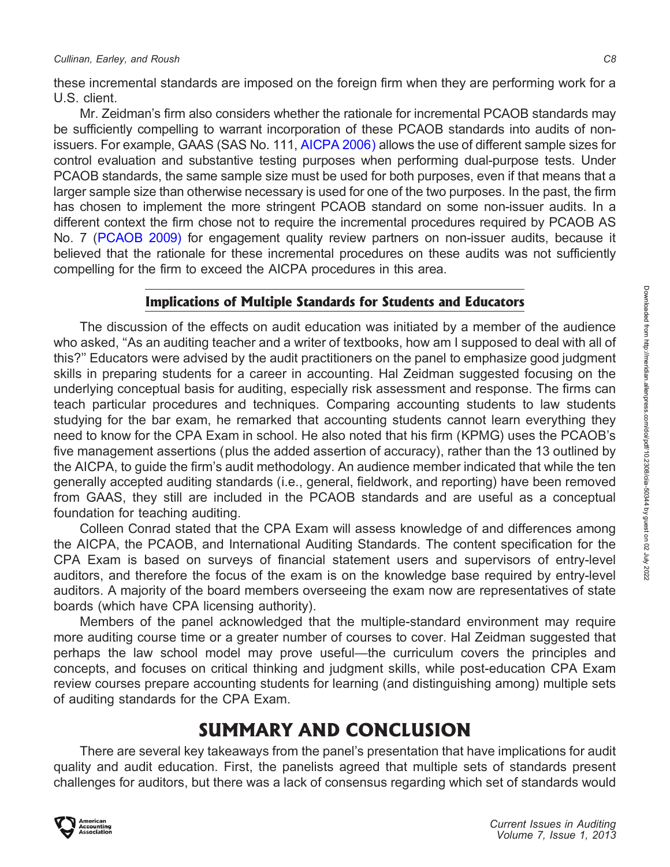these incremental standards are imposed on the foreign firm when they are performing work for a U.S. client.

Mr. Zeidman's firm also considers whether the rationale for incremental PCAOB standards may be sufficiently compelling to warrant incorporation of these PCAOB standards into audits of nonissuers. For example, GAAS (SAS No. 111, [AICPA 2006\)](#page-8-0) allows the use of different sample sizes for control evaluation and substantive testing purposes when performing dual-purpose tests. Under PCAOB standards, the same sample size must be used for both purposes, even if that means that a larger sample size than otherwise necessary is used for one of the two purposes. In the past, the firm has chosen to implement the more stringent PCAOB standard on some non-issuer audits. In a different context the firm chose not to require the incremental procedures required by PCAOB AS No. 7 [\(PCAOB 2009\)](#page-9-0) for engagement quality review partners on non-issuer audits, because it believed that the rationale for these incremental procedures on these audits was not sufficiently compelling for the firm to exceed the AICPA procedures in this area.

#### Implications of Multiple Standards for Students and Educators

The discussion of the effects on audit education was initiated by a member of the audience who asked, ''As an auditing teacher and a writer of textbooks, how am I supposed to deal with all of this?'' Educators were advised by the audit practitioners on the panel to emphasize good judgment skills in preparing students for a career in accounting. Hal Zeidman suggested focusing on the underlying conceptual basis for auditing, especially risk assessment and response. The firms can teach particular procedures and techniques. Comparing accounting students to law students studying for the bar exam, he remarked that accounting students cannot learn everything they need to know for the CPA Exam in school. He also noted that his firm (KPMG) uses the PCAOB's five management assertions (plus the added assertion of accuracy), rather than the 13 outlined by the AICPA, to guide the firm's audit methodology. An audience member indicated that while the ten generally accepted auditing standards (i.e., general, fieldwork, and reporting) have been removed from GAAS, they still are included in the PCAOB standards and are useful as a conceptual foundation for teaching auditing.

Colleen Conrad stated that the CPA Exam will assess knowledge of and differences among the AICPA, the PCAOB, and International Auditing Standards. The content specification for the CPA Exam is based on surveys of financial statement users and supervisors of entry-level auditors, and therefore the focus of the exam is on the knowledge base required by entry-level auditors. A majority of the board members overseeing the exam now are representatives of state boards (which have CPA licensing authority).

Members of the panel acknowledged that the multiple-standard environment may require more auditing course time or a greater number of courses to cover. Hal Zeidman suggested that perhaps the law school model may prove useful—the curriculum covers the principles and concepts, and focuses on critical thinking and judgment skills, while post-education CPA Exam review courses prepare accounting students for learning (and distinguishing among) multiple sets of auditing standards for the CPA Exam.

# SUMMARY AND CONCLUSION

There are several key takeaways from the panel's presentation that have implications for audit quality and audit education. First, the panelists agreed that multiple sets of standards present challenges for auditors, but there was a lack of consensus regarding which set of standards would

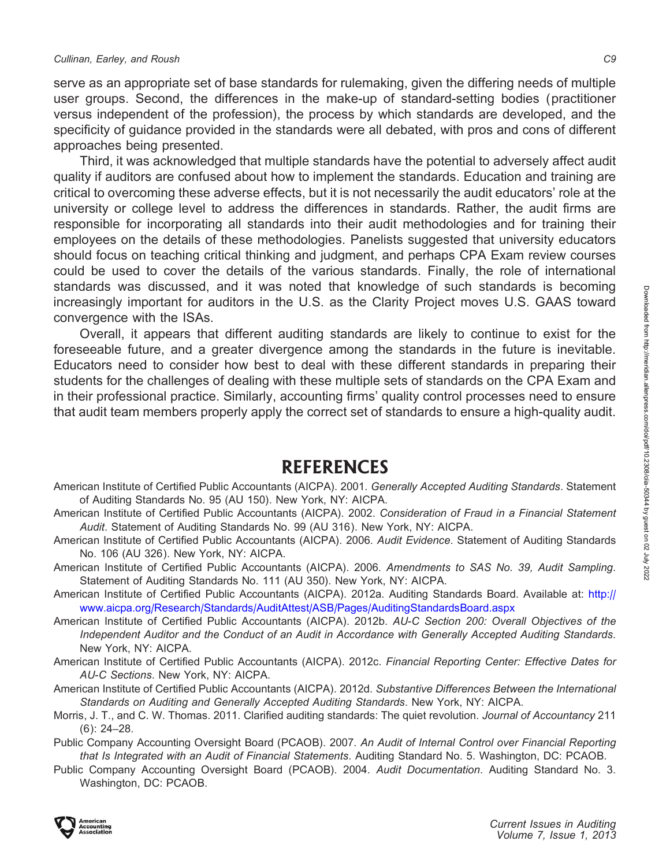<span id="page-8-0"></span>serve as an appropriate set of base standards for rulemaking, given the differing needs of multiple user groups. Second, the differences in the make-up of standard-setting bodies (practitioner versus independent of the profession), the process by which standards are developed, and the specificity of guidance provided in the standards were all debated, with pros and cons of different approaches being presented.

Third, it was acknowledged that multiple standards have the potential to adversely affect audit quality if auditors are confused about how to implement the standards. Education and training are critical to overcoming these adverse effects, but it is not necessarily the audit educators' role at the university or college level to address the differences in standards. Rather, the audit firms are responsible for incorporating all standards into their audit methodologies and for training their employees on the details of these methodologies. Panelists suggested that university educators should focus on teaching critical thinking and judgment, and perhaps CPA Exam review courses could be used to cover the details of the various standards. Finally, the role of international standards was discussed, and it was noted that knowledge of such standards is becoming increasingly important for auditors in the U.S. as the Clarity Project moves U.S. GAAS toward convergence with the ISAs.

Overall, it appears that different auditing standards are likely to continue to exist for the foreseeable future, and a greater divergence among the standards in the future is inevitable. Educators need to consider how best to deal with these different standards in preparing their students for the challenges of dealing with these multiple sets of standards on the CPA Exam and in their professional practice. Similarly, accounting firms' quality control processes need to ensure that audit team members properly apply the correct set of standards to ensure a high-quality audit.

## REFERENCES

- American Institute of Certified Public Accountants (AICPA). 2001. Generally Accepted Auditing Standards. Statement of Auditing Standards No. 95 (AU 150). New York, NY: AICPA.
- American Institute of Certified Public Accountants (AICPA). 2002. Consideration of Fraud in a Financial Statement Audit. Statement of Auditing Standards No. 99 (AU 316). New York, NY: AICPA.
- American Institute of Certified Public Accountants (AICPA). 2006. Audit Evidence. Statement of Auditing Standards No. 106 (AU 326). New York, NY: AICPA.
- American Institute of Certified Public Accountants (AICPA). 2006. Amendments to SAS No. 39, Audit Sampling. Statement of Auditing Standards No. 111 (AU 350). New York, NY: AICPA.
- American Institute of Certified Public Accountants (AICPA). 2012a. Auditing Standards Board. Available at: [http://](http://www.aicpa.org/Research/Standards/AuditAttest/ASB/Pages/AuditingStandardsBoard.aspx) [www.aicpa.org/Research/Standards/AuditAttest/ASB/Pages/AuditingStandardsBoard.aspx](http://www.aicpa.org/Research/Standards/AuditAttest/ASB/Pages/AuditingStandardsBoard.aspx)
- American Institute of Certified Public Accountants (AICPA). 2012b. AU-C Section 200: Overall Objectives of the Independent Auditor and the Conduct of an Audit in Accordance with Generally Accepted Auditing Standards. New York, NY: AICPA.
- American Institute of Certified Public Accountants (AICPA). 2012c. Financial Reporting Center: Effective Dates for AU-C Sections. New York, NY: AICPA.
- American Institute of Certified Public Accountants (AICPA). 2012d. Substantive Differences Between the International Standards on Auditing and Generally Accepted Auditing Standards. New York, NY: AICPA.
- Morris, J. T., and C. W. Thomas. 2011. Clarified auditing standards: The quiet revolution. Journal of Accountancy 211 (6): 24–28.
- Public Company Accounting Oversight Board (PCAOB). 2007. An Audit of Internal Control over Financial Reporting that Is Integrated with an Audit of Financial Statements. Auditing Standard No. 5. Washington, DC: PCAOB.
- Public Company Accounting Oversight Board (PCAOB). 2004. Audit Documentation. Auditing Standard No. 3. Washington, DC: PCAOB.